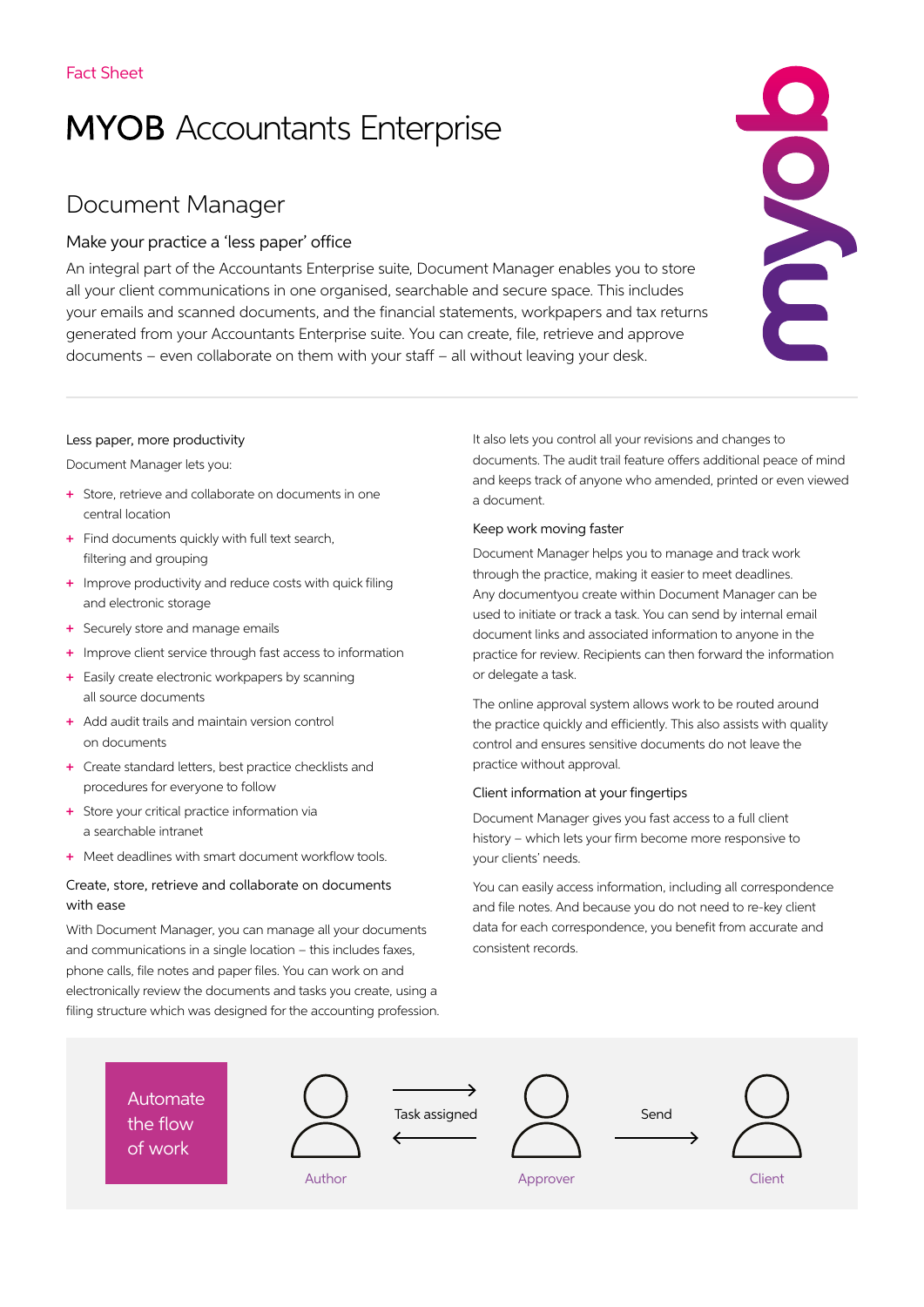# **MYOB** Accountants Enterprise

# Document Manager

## Make your practice a 'less paper' office

An integral part of the Accountants Enterprise suite, Document Manager enables you to store all your client communications in one organised, searchable and secure space. This includes your emails and scanned documents, and the financial statements, workpapers and tax returns generated from your Accountants Enterprise suite. You can create, file, retrieve and approve documents – even collaborate on them with your staff – all without leaving your desk.



#### Less paper, more productivity

Document Manager lets you:

- + Store, retrieve and collaborate on documents in one central location
- + Find documents quickly with full text search, filtering and grouping
- + Improve productivity and reduce costs with quick filing and electronic storage
- + Securely store and manage emails
- + Improve client service through fast access to information
- + Easily create electronic workpapers by scanning all source documents
- + Add audit trails and maintain version control on documents
- + Create standard letters, best practice checklists and procedures for everyone to follow
- + Store your critical practice information via a searchable intranet
- + Meet deadlines with smart document workflow tools.

#### Create, store, retrieve and collaborate on documents with ease

With Document Manager, you can manage all your documents and communications in a single location – this includes faxes. phone calls, file notes and paper files. You can work on and electronically review the documents and tasks you create, using a filing structure which was designed for the accounting profession. It also lets you control all your revisions and changes to documents. The audit trail feature offers additional peace of mind and keeps track of anyone who amended, printed or even viewed a document.

#### Keep work moving faster

Document Manager helps you to manage and track work through the practice, making it easier to meet deadlines. Any documentyou create within Document Manager can be used to initiate or track a task. You can send by internal email document links and associated information to anyone in the practice for review. Recipients can then forward the information or delegate a task.

The online approval system allows work to be routed around the practice quickly and efficiently. This also assists with quality control and ensures sensitive documents do not leave the practice without approval.

#### Client information at your fingertips

Document Manager gives you fast access to a full client history – which lets your firm become more responsive to your clients' needs.

You can easily access information, including all correspondence and file notes. And because you do not need to re-key client data for each correspondence, you benefit from accurate and consistent records.